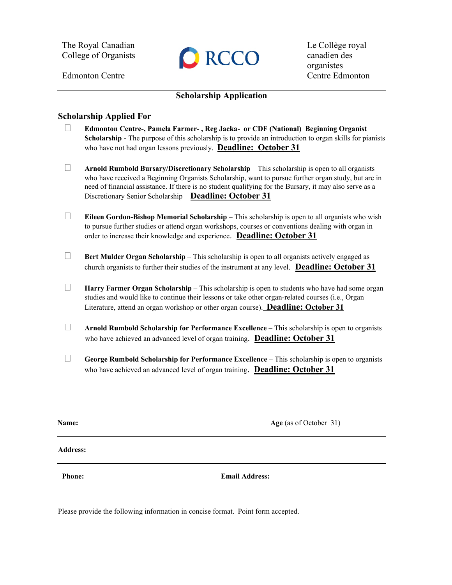The Royal Canadian College of Organists



Le Collège royal canadien des organistes Edmonton Centre Centre Edmonton

## **Scholarship Application**

## **Scholarship Applied For**

- **Edmonton Centre-, Pamela Farmer- , Reg Jacka- or CDF (National) Beginning Organist Scholarship** - The purpose of this scholarship is to provide an introduction to organ skills for pianists who have not had organ lessons previously. **Deadline: October 31**
- **Arnold Rumbold Bursary/Discretionary Scholarship** This scholarship is open to all organists who have received a Beginning Organists Scholarship, want to pursue further organ study, but are in need of financial assistance. If there is no student qualifying for the Bursary, it may also serve as a Discretionary Senior Scholarship **Deadline: October 31**
- **Eileen Gordon-Bishop Memorial Scholarship** This scholarship is open to all organists who wish to pursue further studies or attend organ workshops, courses or conventions dealing with organ in order to increase their knowledge and experience. **Deadline: October 31**
- **Bert Mulder Organ Scholarship** This scholarship is open to all organists actively engaged as church organists to further their studies of the instrument at any level. **Deadline: October 31**
- **Harry Farmer Organ Scholarship** This scholarship is open to students who have had some organ studies and would like to continue their lessons or take other organ-related courses (i.e., Organ Literature, attend an organ workshop or other organ course). **Deadline: October 31**
- **Arnold Rumbold Scholarship for Performance Excellence** This scholarship is open to organists who have achieved an advanced level of organ training. **Deadline: October 31**
- **George Rumbold Scholarship for Performance Excellence** This scholarship is open to organists who have achieved an advanced level of organ training. **Deadline: October 31**

**Name:** Age (as of October 31)

**Address:**

**Phone:** Email Address:

Please provide the following information in concise format. Point form accepted.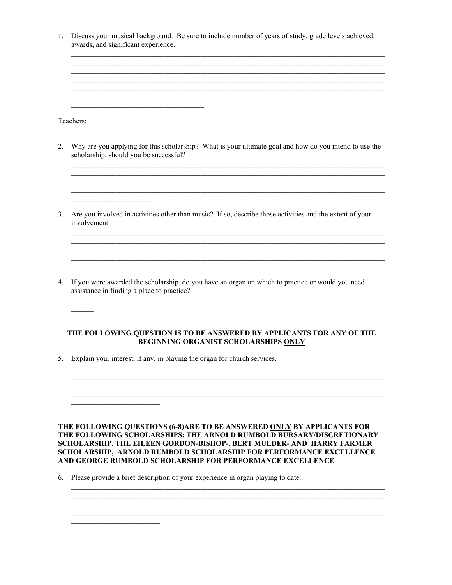1. Discuss your musical background. Be sure to include number of years of study, grade levels achieved, awards, and significant experience.

> <u> 1989 - Johann Stoff, amerikansk politik (f. 1989)</u> <u> 1989 - Andrea Stadt Barbara, amerikan basar dan berasal di sebagai basa dalam basa dalam basa dalam basa dala</u>

Teachers:

2. Why are you applying for this scholarship? What is your ultimate goal and how do you intend to use the scholarship, should you be successful?

<u> 1989 - Johann Stoff, amerikan berkeman dan berkeman berkeman dalam berkeman dalam berkeman dalam berkeman da</u> <u> 1999 - Johann Stoff, amerikan bestein de sterfte fan de ferskeart fan de ferskeart fan de ferskeart fan de fe</u>

3. Are you involved in activities other than music? If so, describe those activities and the extent of your involvement.

<u> 1989 - Andrea Stadt Britain, amerikan berlandar adalah personal dan berlanda dan berlanda dan berlanda dan be</u>

<u> 1989 - Johann Stoff, amerikan bestein de stad in de stad in de stad in de stad in de stad in de stad in de st</u>

4. If you were awarded the scholarship, do you have an organ on which to practice or would you need assistance in finding a place to practice?

## THE FOLLOWING QUESTION IS TO BE ANSWERED BY APPLICANTS FOR ANY OF THE BEGINNING ORGANIST SCHOLARSHIPS ONLY

5. Explain your interest, if any, in playing the organ for church services.

<u> 1980 - Jan Barbara Barbara, manazarta </u>

THE FOLLOWING QUESTIONS (6-8)ARE TO BE ANSWERED ONLY BY APPLICANTS FOR THE FOLLOWING SCHOLARSHIPS: THE ARNOLD RUMBOLD BURSARY/DISCRETIONARY SCHOLARSHIP, THE EILEEN GORDON-BISHOP-, BERT MULDER- AND HARRY FARMER SCHOLARSHIP, ARNOLD RUMBOLD SCHOLARSHIP FOR PERFORMANCE EXCELLENCE AND GEORGE RUMBOLD SCHOLARSHIP FOR PERFORMANCE EXCELLENCE

6. Please provide a brief description of your experience in organ playing to date.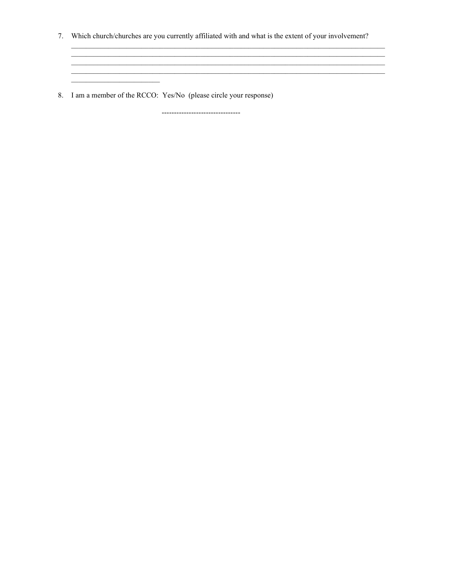7. Which church/churches are you currently affiliated with and what is the extent of your involvement?

<u> 1989 - Johann Stoff, deutscher Stoff, der Stoff, der Stoff, der Stoff, der Stoff, der Stoff, der Stoff, der S</u>

<u> 1990 - Jan James James Barbara, martxa</u>

8. I am a member of the RCCO: Yes/No (please circle your response)

<u> 1980 - Jan Barbara Barbara, prima prima prima prima prima prima prima prima prima prima prima prima prima pri</u>

--------------------------------